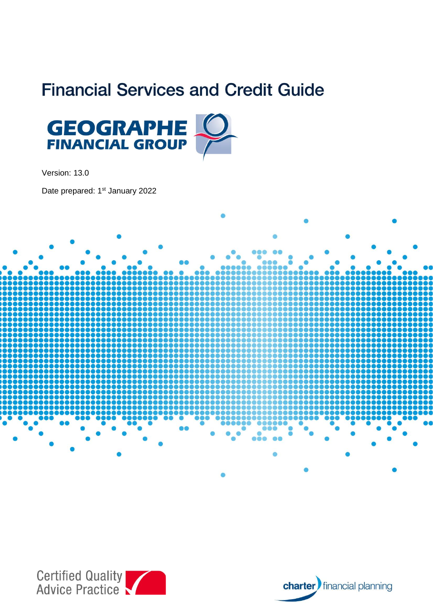# **Financial Services and Credit Guide**



Version: 13.0

Date prepared: 1<sup>st</sup> January 2022





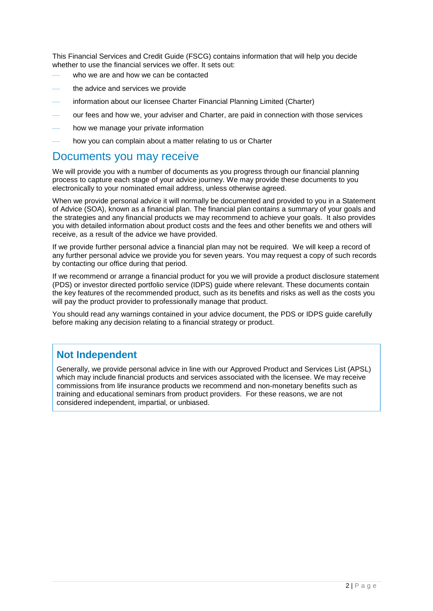This Financial Services and Credit Guide (FSCG) contains information that will help you decide whether to use the financial services we offer. It sets out:

- who we are and how we can be contacted
- the advice and services we provide
- information about our licensee Charter Financial Planning Limited (Charter)
- our fees and how we, your adviser and Charter, are paid in connection with those services
- how we manage your private information
- how you can complain about a matter relating to us or Charter

## Documents you may receive

We will provide you with a number of documents as you progress through our financial planning process to capture each stage of your advice journey. We may provide these documents to you electronically to your nominated email address, unless otherwise agreed.

When we provide personal advice it will normally be documented and provided to you in a Statement of Advice (SOA), known as a financial plan. The financial plan contains a summary of your goals and the strategies and any financial products we may recommend to achieve your goals. It also provides you with detailed information about product costs and the fees and other benefits we and others will receive, as a result of the advice we have provided.

If we provide further personal advice a financial plan may not be required. We will keep a record of any further personal advice we provide you for seven years. You may request a copy of such records by contacting our office during that period.

If we recommend or arrange a financial product for you we will provide a product disclosure statement (PDS) or investor directed portfolio service (IDPS) guide where relevant. These documents contain the key features of the recommended product, such as its benefits and risks as well as the costs you will pay the product provider to professionally manage that product.

You should read any warnings contained in your advice document, the PDS or IDPS guide carefully before making any decision relating to a financial strategy or product.

### **Not Independent**

Generally, we provide personal advice in line with our Approved Product and Services List (APSL) which may include financial products and services associated with the licensee. We may receive commissions from life insurance products we recommend and non-monetary benefits such as training and educational seminars from product providers. For these reasons, we are not considered independent, impartial, or unbiased.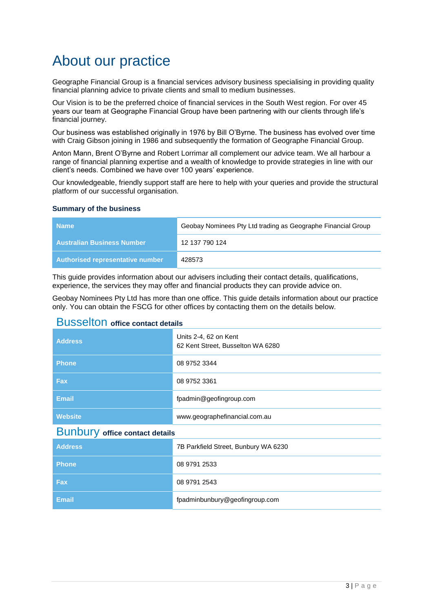# About our practice

Geographe Financial Group is a financial services advisory business specialising in providing quality financial planning advice to private clients and small to medium businesses.

Our Vision is to be the preferred choice of financial services in the South West region. For over 45 years our team at Geographe Financial Group have been partnering with our clients through life's financial journey.

Our business was established originally in 1976 by Bill O'Byrne. The business has evolved over time with Craig Gibson joining in 1986 and subsequently the formation of Geographe Financial Group.

Anton Mann, Brent O'Byrne and Robert Lorrimar all complement our advice team. We all harbour a range of financial planning expertise and a wealth of knowledge to provide strategies in line with our client's needs. Combined we have over 100 years' experience.

Our knowledgeable, friendly support staff are here to help with your queries and provide the structural platform of our successful organisation.

#### **Summary of the business**

| <b>Name</b>                       | Geobay Nominees Pty Ltd trading as Geographe Financial Group |
|-----------------------------------|--------------------------------------------------------------|
| <b>Australian Business Number</b> | 12 137 790 124                                               |
| Authorised representative number  | 428573                                                       |

This guide provides information about our advisers including their contact details, qualifications, experience, the services they may offer and financial products they can provide advice on.

Geobay Nominees Pty Ltd has more than one office. This guide details information about our practice only. You can obtain the FSCG for other offices by contacting them on the details below.

### Busselton **office contact details**

| <b>Address</b>                        | Units 2-4, 62 on Kent<br>62 Kent Street, Busselton WA 6280 |  |
|---------------------------------------|------------------------------------------------------------|--|
| <b>Phone</b>                          | 08 9752 3344                                               |  |
| <b>Fax</b>                            | 08 9752 3361                                               |  |
| <b>Email</b>                          | fpadmin@geofingroup.com                                    |  |
| <b>Website</b>                        | www.geographefinancial.com.au                              |  |
| <b>Bunbury office contact details</b> |                                                            |  |
| <b>Address</b>                        | 7B Parkfield Street, Bunbury WA 6230                       |  |
| <b>Phone</b>                          | 08 9791 2533                                               |  |
| <b>Fax</b>                            | 08 9791 2543                                               |  |
| <b>Email</b>                          | fpadminbunbury@geofingroup.com                             |  |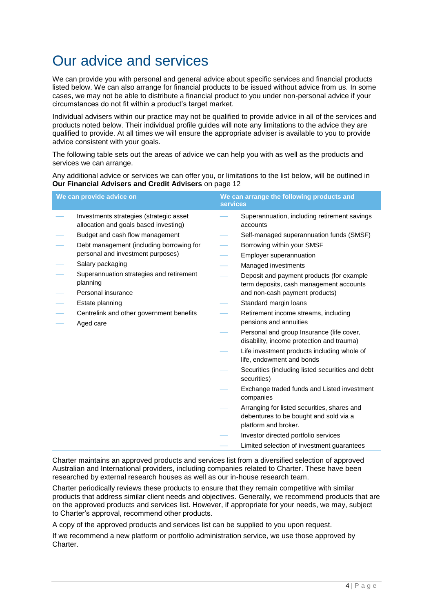# Our advice and services

We can provide you with personal and general advice about specific services and financial products listed below. We can also arrange for financial products to be issued without advice from us. In some cases, we may not be able to distribute a financial product to you under non-personal advice if your circumstances do not fit within a product's target market.

Individual advisers within our practice may not be qualified to provide advice in all of the services and products noted below. Their individual profile guides will note any limitations to the advice they are qualified to provide. At all times we will ensure the appropriate adviser is available to you to provide advice consistent with your goals.

The following table sets out the areas of advice we can help you with as well as the products and services we can arrange.

Any additional advice or services we can offer you, or limitations to the list below, will be outlined in **Our Financial Advisers and Credit Advisers** on page 12

| Superannuation, including retirement savings<br>Investments strategies (strategic asset<br>allocation and goals based investing)<br>accounts<br>Budget and cash flow management<br>Self-managed superannuation funds (SMSF)<br>Debt management (including borrowing for<br>Borrowing within your SMSF<br>personal and investment purposes)<br>Employer superannuation<br>Salary packaging<br>Managed investments<br>Superannuation strategies and retirement<br>Deposit and payment products (for example<br>planning<br>term deposits, cash management accounts<br>Personal insurance<br>and non-cash payment products)<br>Standard margin loans<br>Estate planning<br>Retirement income streams, including<br>Centrelink and other government benefits<br>pensions and annuities<br>Aged care<br>Personal and group Insurance (life cover,<br>disability, income protection and trauma)<br>Life investment products including whole of<br>life, endowment and bonds<br>Securities (including listed securities and debt<br>securities)<br>Exchange traded funds and Listed investment<br>companies<br>Arranging for listed securities, shares and<br>debentures to be bought and sold via a<br>platform and broker.<br>Investor directed portfolio services<br>Limited selection of investment guarantees | We can provide advice on | services | We can arrange the following products and |
|-------------------------------------------------------------------------------------------------------------------------------------------------------------------------------------------------------------------------------------------------------------------------------------------------------------------------------------------------------------------------------------------------------------------------------------------------------------------------------------------------------------------------------------------------------------------------------------------------------------------------------------------------------------------------------------------------------------------------------------------------------------------------------------------------------------------------------------------------------------------------------------------------------------------------------------------------------------------------------------------------------------------------------------------------------------------------------------------------------------------------------------------------------------------------------------------------------------------------------------------------------------------------------------------------------------|--------------------------|----------|-------------------------------------------|
|                                                                                                                                                                                                                                                                                                                                                                                                                                                                                                                                                                                                                                                                                                                                                                                                                                                                                                                                                                                                                                                                                                                                                                                                                                                                                                             |                          |          |                                           |
|                                                                                                                                                                                                                                                                                                                                                                                                                                                                                                                                                                                                                                                                                                                                                                                                                                                                                                                                                                                                                                                                                                                                                                                                                                                                                                             |                          |          |                                           |
|                                                                                                                                                                                                                                                                                                                                                                                                                                                                                                                                                                                                                                                                                                                                                                                                                                                                                                                                                                                                                                                                                                                                                                                                                                                                                                             |                          |          |                                           |
|                                                                                                                                                                                                                                                                                                                                                                                                                                                                                                                                                                                                                                                                                                                                                                                                                                                                                                                                                                                                                                                                                                                                                                                                                                                                                                             |                          |          |                                           |
|                                                                                                                                                                                                                                                                                                                                                                                                                                                                                                                                                                                                                                                                                                                                                                                                                                                                                                                                                                                                                                                                                                                                                                                                                                                                                                             |                          |          |                                           |
|                                                                                                                                                                                                                                                                                                                                                                                                                                                                                                                                                                                                                                                                                                                                                                                                                                                                                                                                                                                                                                                                                                                                                                                                                                                                                                             |                          |          |                                           |
|                                                                                                                                                                                                                                                                                                                                                                                                                                                                                                                                                                                                                                                                                                                                                                                                                                                                                                                                                                                                                                                                                                                                                                                                                                                                                                             |                          |          |                                           |
|                                                                                                                                                                                                                                                                                                                                                                                                                                                                                                                                                                                                                                                                                                                                                                                                                                                                                                                                                                                                                                                                                                                                                                                                                                                                                                             |                          |          |                                           |
|                                                                                                                                                                                                                                                                                                                                                                                                                                                                                                                                                                                                                                                                                                                                                                                                                                                                                                                                                                                                                                                                                                                                                                                                                                                                                                             |                          |          |                                           |
|                                                                                                                                                                                                                                                                                                                                                                                                                                                                                                                                                                                                                                                                                                                                                                                                                                                                                                                                                                                                                                                                                                                                                                                                                                                                                                             |                          |          |                                           |
|                                                                                                                                                                                                                                                                                                                                                                                                                                                                                                                                                                                                                                                                                                                                                                                                                                                                                                                                                                                                                                                                                                                                                                                                                                                                                                             |                          |          |                                           |
|                                                                                                                                                                                                                                                                                                                                                                                                                                                                                                                                                                                                                                                                                                                                                                                                                                                                                                                                                                                                                                                                                                                                                                                                                                                                                                             |                          |          |                                           |
|                                                                                                                                                                                                                                                                                                                                                                                                                                                                                                                                                                                                                                                                                                                                                                                                                                                                                                                                                                                                                                                                                                                                                                                                                                                                                                             |                          |          |                                           |
|                                                                                                                                                                                                                                                                                                                                                                                                                                                                                                                                                                                                                                                                                                                                                                                                                                                                                                                                                                                                                                                                                                                                                                                                                                                                                                             |                          |          |                                           |
|                                                                                                                                                                                                                                                                                                                                                                                                                                                                                                                                                                                                                                                                                                                                                                                                                                                                                                                                                                                                                                                                                                                                                                                                                                                                                                             |                          |          |                                           |
|                                                                                                                                                                                                                                                                                                                                                                                                                                                                                                                                                                                                                                                                                                                                                                                                                                                                                                                                                                                                                                                                                                                                                                                                                                                                                                             |                          |          |                                           |

Charter maintains an approved products and services list from a diversified selection of approved Australian and International providers, including companies related to Charter. These have been researched by external research houses as well as our in-house research team.

Charter periodically reviews these products to ensure that they remain competitive with similar products that address similar client needs and objectives. Generally, we recommend products that are on the approved products and services list. However, if appropriate for your needs, we may, subject to Charter's approval, recommend other products.

A copy of the approved products and services list can be supplied to you upon request.

If we recommend a new platform or portfolio administration service, we use those approved by Charter.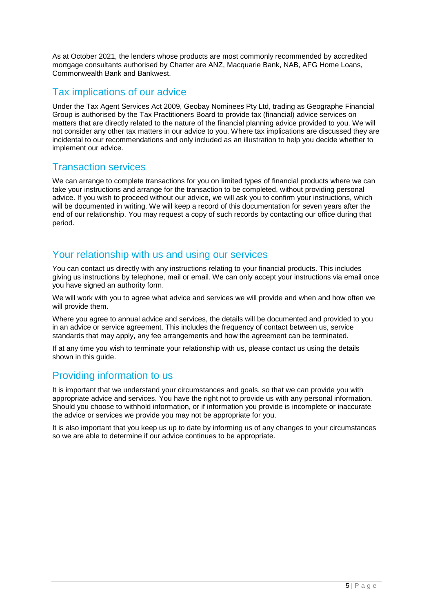As at October 2021, the lenders whose products are most commonly recommended by accredited mortgage consultants authorised by Charter are ANZ, Macquarie Bank, NAB, AFG Home Loans, Commonwealth Bank and Bankwest.

### Tax implications of our advice

Under the Tax Agent Services Act 2009, Geobay Nominees Pty Ltd, trading as Geographe Financial Group is authorised by the Tax Practitioners Board to provide tax (financial) advice services on matters that are directly related to the nature of the financial planning advice provided to you. We will not consider any other tax matters in our advice to you. Where tax implications are discussed they are incidental to our recommendations and only included as an illustration to help you decide whether to implement our advice.

### Transaction services

We can arrange to complete transactions for you on limited types of financial products where we can take your instructions and arrange for the transaction to be completed, without providing personal advice. If you wish to proceed without our advice, we will ask you to confirm your instructions, which will be documented in writing. We will keep a record of this documentation for seven years after the end of our relationship. You may request a copy of such records by contacting our office during that period.

### Your relationship with us and using our services

You can contact us directly with any instructions relating to your financial products. This includes giving us instructions by telephone, mail or email. We can only accept your instructions via email once you have signed an authority form.

We will work with you to agree what advice and services we will provide and when and how often we will provide them.

Where you agree to annual advice and services, the details will be documented and provided to you in an advice or service agreement. This includes the frequency of contact between us, service standards that may apply, any fee arrangements and how the agreement can be terminated.

If at any time you wish to terminate your relationship with us, please contact us using the details shown in this guide.

## Providing information to us

It is important that we understand your circumstances and goals, so that we can provide you with appropriate advice and services. You have the right not to provide us with any personal information. Should you choose to withhold information, or if information you provide is incomplete or inaccurate the advice or services we provide you may not be appropriate for you.

It is also important that you keep us up to date by informing us of any changes to your circumstances so we are able to determine if our advice continues to be appropriate.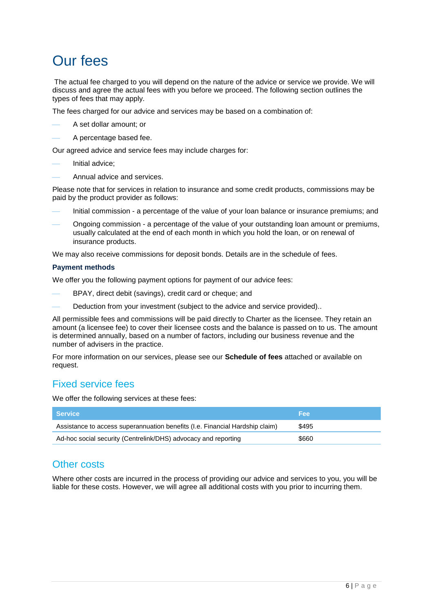# Our fees

The actual fee charged to you will depend on the nature of the advice or service we provide. We will discuss and agree the actual fees with you before we proceed. The following section outlines the types of fees that may apply.

The fees charged for our advice and services may be based on a combination of:

- ⎯ A set dollar amount; or
- A percentage based fee.

Our agreed advice and service fees may include charges for:

- Initial advice:
- Annual advice and services.

Please note that for services in relation to insurance and some credit products, commissions may be paid by the product provider as follows:

- Initial commission a percentage of the value of your loan balance or insurance premiums; and
- Ongoing commission a percentage of the value of your outstanding loan amount or premiums, usually calculated at the end of each month in which you hold the loan, or on renewal of insurance products.

We may also receive commissions for deposit bonds. Details are in the schedule of fees.

#### **Payment methods**

We offer you the following payment options for payment of our advice fees:

- BPAY, direct debit (savings), credit card or cheque; and
- Deduction from your investment (subject to the advice and service provided)..

All permissible fees and commissions will be paid directly to Charter as the licensee. They retain an amount (a licensee fee) to cover their licensee costs and the balance is passed on to us. The amount is determined annually, based on a number of factors, including our business revenue and the number of advisers in the practice.

For more information on our services, please see our **Schedule of fees** attached or available on request.

### Fixed service fees

We offer the following services at these fees:

| l Service                                                                    | <b>Fee</b> |
|------------------------------------------------------------------------------|------------|
| Assistance to access superannuation benefits (I.e. Financial Hardship claim) | \$495      |
| Ad-hoc social security (Centrelink/DHS) advocacy and reporting               | \$660      |

### Other costs

Where other costs are incurred in the process of providing our advice and services to you, you will be liable for these costs. However, we will agree all additional costs with you prior to incurring them.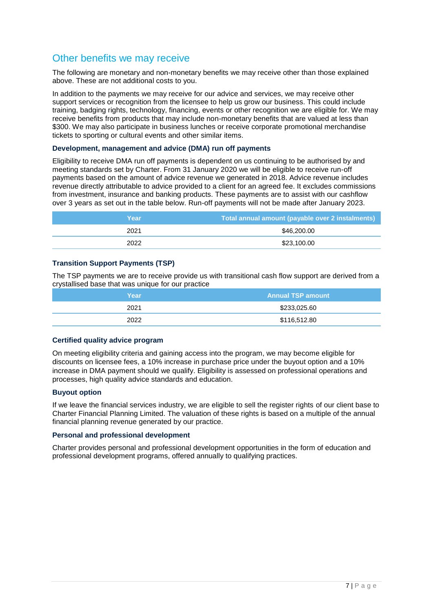### Other benefits we may receive

The following are monetary and non-monetary benefits we may receive other than those explained above. These are not additional costs to you.

In addition to the payments we may receive for our advice and services, we may receive other support services or recognition from the licensee to help us grow our business. This could include training, badging rights, technology, financing, events or other recognition we are eligible for. We may receive benefits from products that may include non-monetary benefits that are valued at less than \$300. We may also participate in business lunches or receive corporate promotional merchandise tickets to sporting or cultural events and other similar items.

#### **Development, management and advice (DMA) run off payments**

Eligibility to receive DMA run off payments is dependent on us continuing to be authorised by and meeting standards set by Charter. From 31 January 2020 we will be eligible to receive run-off payments based on the amount of advice revenue we generated in 2018. Advice revenue includes revenue directly attributable to advice provided to a client for an agreed fee. It excludes commissions from investment, insurance and banking products. These payments are to assist with our cashflow over 3 years as set out in the table below. Run-off payments will not be made after January 2023.

| Year | Total annual amount (payable over 2 instalments) |
|------|--------------------------------------------------|
| 2021 | \$46,200.00                                      |
| 2022 | \$23,100.00                                      |

### **Transition Support Payments (TSP)**

The TSP payments we are to receive provide us with transitional cash flow support are derived from a crystallised base that was unique for our practice

| Year | <b>Annual TSP amount</b> |
|------|--------------------------|
| 2021 | \$233,025.60             |
| 2022 | \$116,512.80             |

### **Certified quality advice program**

On meeting eligibility criteria and gaining access into the program, we may become eligible for discounts on licensee fees, a 10% increase in purchase price under the buyout option and a 10% increase in DMA payment should we qualify. Eligibility is assessed on professional operations and processes, high quality advice standards and education.

#### **Buyout option**

If we leave the financial services industry, we are eligible to sell the register rights of our client base to Charter Financial Planning Limited. The valuation of these rights is based on a multiple of the annual financial planning revenue generated by our practice.

#### **Personal and professional development**

Charter provides personal and professional development opportunities in the form of education and professional development programs, offered annually to qualifying practices.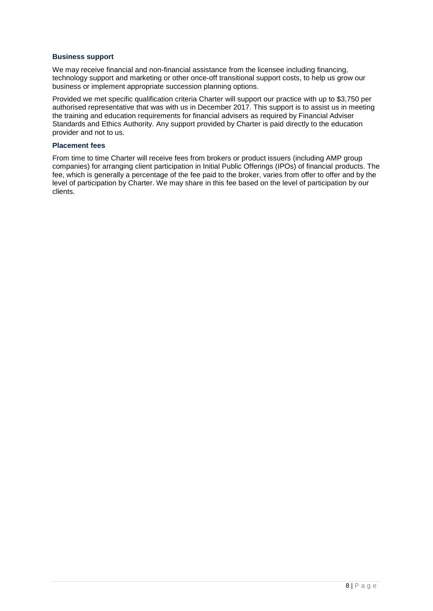#### **Business support**

We may receive financial and non-financial assistance from the licensee including financing, technology support and marketing or other once-off transitional support costs, to help us grow our business or implement appropriate succession planning options.

Provided we met specific qualification criteria Charter will support our practice with up to \$3,750 per authorised representative that was with us in December 2017. This support is to assist us in meeting the training and education requirements for financial advisers as required by Financial Adviser Standards and Ethics Authority. Any support provided by Charter is paid directly to the education provider and not to us.

#### **Placement fees**

From time to time Charter will receive fees from brokers or product issuers (including AMP group companies) for arranging client participation in Initial Public Offerings (IPOs) of financial products. The fee, which is generally a percentage of the fee paid to the broker, varies from offer to offer and by the level of participation by Charter. We may share in this fee based on the level of participation by our clients.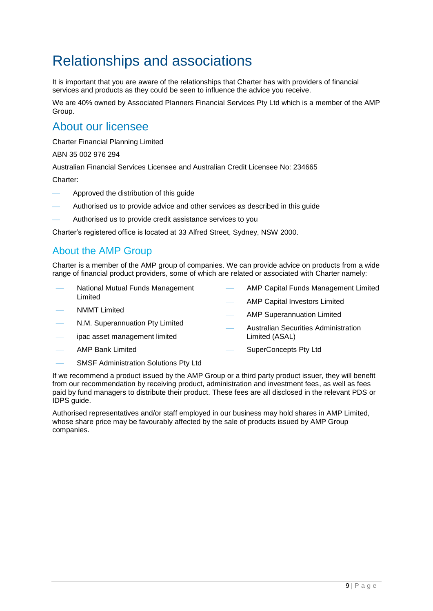# Relationships and associations

It is important that you are aware of the relationships that Charter has with providers of financial services and products as they could be seen to influence the advice you receive.

We are 40% owned by Associated Planners Financial Services Pty Ltd which is a member of the AMP Group.

## About our licensee

Charter Financial Planning Limited

ABN 35 002 976 294

Australian Financial Services Licensee and Australian Credit Licensee No: 234665

Charter:

- ⎯ Approved the distribution of this guide
- Authorised us to provide advice and other services as described in this guide
- Authorised us to provide credit assistance services to you

Charter's registered office is located at 33 Alfred Street, Sydney, NSW 2000.

## About the AMP Group

Charter is a member of the AMP group of companies. We can provide advice on products from a wide range of financial product providers, some of which are related or associated with Charter namely:

- National Mutual Funds Management Limited
- AMP Capital Funds Management Limited

⎯ Australian Securities Administration

- AMP Capital Investors Limited
- AMP Superannuation Limited
- N.M. Superannuation Pty Limited
- ipac asset management limited
- ⎯ AMP Bank Limited

**NMMT Limited** 

- Limited (ASAL) SuperConcepts Pty Ltd
- SMSF Administration Solutions Pty Ltd

If we recommend a product issued by the AMP Group or a third party product issuer, they will benefit from our recommendation by receiving product, administration and investment fees, as well as fees paid by fund managers to distribute their product. These fees are all disclosed in the relevant PDS or IDPS guide.

Authorised representatives and/or staff employed in our business may hold shares in AMP Limited, whose share price may be favourably affected by the sale of products issued by AMP Group companies.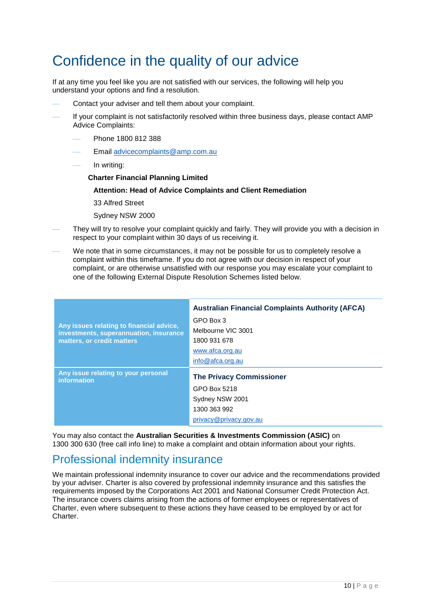# Confidence in the quality of our advice

If at any time you feel like you are not satisfied with our services, the following will help you understand your options and find a resolution.

- Contact your adviser and tell them about your complaint.
- If your complaint is not satisfactorily resolved within three business days, please contact AMP Advice Complaints:
	- ⎯ Phone 1800 812 388
	- Email [advicecomplaints@amp.com.au](mailto:advicecomplaints@amp.com.au)
	- In writing:
		- **Charter Financial Planning Limited**

#### **Attention: Head of Advice Complaints and Client Remediation**

33 Alfred Street

- Sydney NSW 2000
- They will try to resolve your complaint quickly and fairly. They will provide you with a decision in respect to your complaint within 30 days of us receiving it.
- We note that in some circumstances, it may not be possible for us to completely resolve a complaint within this timeframe. If you do not agree with our decision in respect of your complaint, or are otherwise unsatisfied with our response you may escalate your complaint to one of the following External Dispute Resolution Schemes listed below.

|                                                                                    | <b>Australian Financial Complaints Authority (AFCA)</b> |
|------------------------------------------------------------------------------------|---------------------------------------------------------|
|                                                                                    | GPO Box 3                                               |
| Any issues relating to financial advice,<br>investments, superannuation, insurance | Melbourne VIC 3001                                      |
| matters, or credit matters                                                         | 1800 931 678                                            |
|                                                                                    | www.afca.org.au                                         |
|                                                                                    | info@afca.org.au                                        |
| Any issue relating to your personal<br><b>information</b>                          | <b>The Privacy Commissioner</b>                         |
|                                                                                    | GPO Box 5218                                            |
|                                                                                    | Sydney NSW 2001                                         |
|                                                                                    | 1300 363 992                                            |
|                                                                                    | privacy@privacy.gov.au                                  |

You may also contact the **Australian Securities & Investments Commission (ASIC)** on 1300 300 630 (free call info line) to make a complaint and obtain information about your rights.

# Professional indemnity insurance

We maintain professional indemnity insurance to cover our advice and the recommendations provided by your adviser. Charter is also covered by professional indemnity insurance and this satisfies the requirements imposed by the Corporations Act 2001 and National Consumer Credit Protection Act. The insurance covers claims arising from the actions of former employees or representatives of Charter, even where subsequent to these actions they have ceased to be employed by or act for Charter.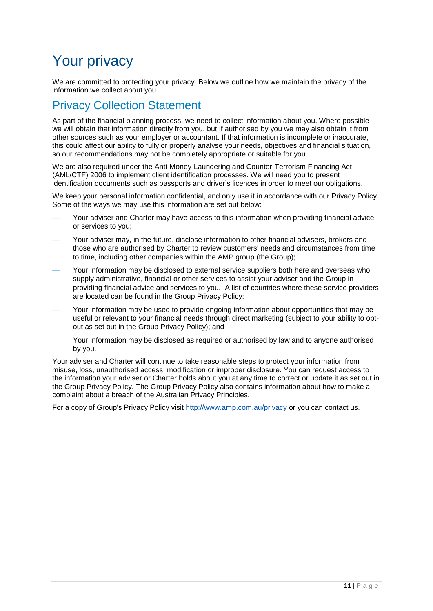# Your privacy

We are committed to protecting your privacy. Below we outline how we maintain the privacy of the information we collect about you.

# Privacy Collection Statement

As part of the financial planning process, we need to collect information about you. Where possible we will obtain that information directly from you, but if authorised by you we may also obtain it from other sources such as your employer or accountant. If that information is incomplete or inaccurate, this could affect our ability to fully or properly analyse your needs, objectives and financial situation, so our recommendations may not be completely appropriate or suitable for you.

We are also required under the Anti-Money-Laundering and Counter-Terrorism Financing Act (AML/CTF) 2006 to implement client identification processes. We will need you to present identification documents such as passports and driver's licences in order to meet our obligations.

We keep your personal information confidential, and only use it in accordance with our Privacy Policy. Some of the ways we may use this information are set out below:

- Your adviser and Charter may have access to this information when providing financial advice or services to you;
- Your adviser may, in the future, disclose information to other financial advisers, brokers and those who are authorised by Charter to review customers' needs and circumstances from time to time, including other companies within the AMP group (the Group);
- Your information may be disclosed to external service suppliers both here and overseas who supply administrative, financial or other services to assist your adviser and the Group in providing financial advice and services to you. A list of countries where these service providers are located can be found in the Group Privacy Policy;
- Your information may be used to provide ongoing information about opportunities that may be useful or relevant to your financial needs through direct marketing (subject to your ability to optout as set out in the Group Privacy Policy); and
- Your information may be disclosed as required or authorised by law and to anyone authorised by you.

Your adviser and Charter will continue to take reasonable steps to protect your information from misuse, loss, unauthorised access, modification or improper disclosure. You can request access to the information your adviser or Charter holds about you at any time to correct or update it as set out in the Group Privacy Policy. The Group Privacy Policy also contains information about how to make a complaint about a breach of the Australian Privacy Principles.

For a copy of Group's Privacy Policy visit<http://www.amp.com.au/privacy> or you can contact us.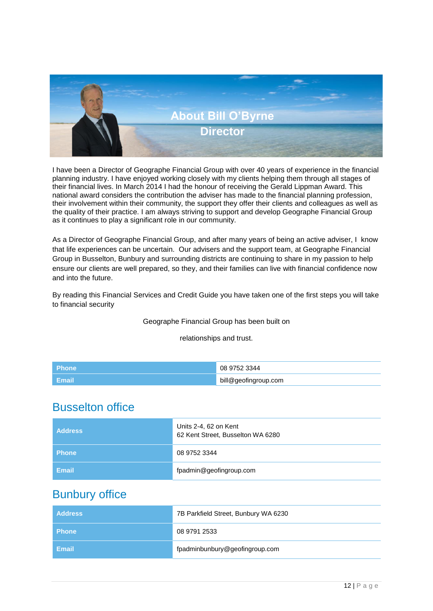

I have been a Director of Geographe Financial Group with over 40 years of experience in the financial planning industry. I have enjoyed working closely with my clients helping them through all stages of their financial lives. In March 2014 I had the honour of receiving the Gerald Lippman Award. This national award considers the contribution the adviser has made to the financial planning profession, their involvement within their community, the support they offer their clients and colleagues as well as the quality of their practice. I am always striving to support and develop Geographe Financial Group as it continues to play a significant role in our community.

As a Director of Geographe Financial Group, and after many years of being an active adviser, I know that life experiences can be uncertain. Our advisers and the support team, at Geographe Financial Group in Busselton, Bunbury and surrounding districts are continuing to share in my passion to help ensure our clients are well prepared, so they, and their families can live with financial confidence now and into the future.

By reading this Financial Services and Credit Guide you have taken one of the first steps you will take to financial security

### Geographe Financial Group has been built on

relationships and trust.

| <b>Phone</b>         | 08 9752 3344         |
|----------------------|----------------------|
| ∣ Email <sup>\</sup> | bill@geofingroup.com |

## Busselton office

| <b>Address</b> | Units 2-4, 62 on Kent<br>62 Kent Street, Busselton WA 6280 |
|----------------|------------------------------------------------------------|
| <b>Phone</b>   | 08 9752 3344                                               |
| Email          | fpadmin@geofingroup.com                                    |

## Bunbury office

| l Address    | 7B Parkfield Street, Bunbury WA 6230 |
|--------------|--------------------------------------|
| <b>Phone</b> | 08 9791 2533                         |
| l Email      | fpadminbunbury@geofingroup.com       |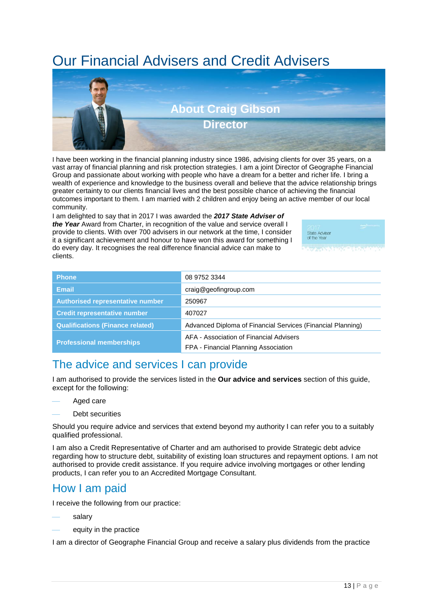# Our Financial Advisers and Credit Advisers



I have been working in the financial planning industry since 1986, advising clients for over 35 years, on a vast array of financial planning and risk protection strategies. I am a joint Director of Geographe Financial Group and passionate about working with people who have a dream for a better and richer life. I bring a wealth of experience and knowledge to the business overall and believe that the advice relationship brings greater certainty to our clients financial lives and the best possible chance of achieving the financial outcomes important to them. I am married with 2 children and enjoy being an active member of our local community.

I am delighted to say that in 2017 I was awarded the *2017 State Adviser of the Year* Award from Charter, in recognition of the value and service overall I provide to clients. With over 700 advisers in our network at the time, I consider it a significant achievement and honour to have won this award for something I do every day. It recognises the real difference financial advice can make to clients.



| <b>Phone</b>                            | 08 9752 3344                                                |
|-----------------------------------------|-------------------------------------------------------------|
| <b>Email</b>                            | craig@geofingroup.com                                       |
| <b>Authorised representative number</b> | 250967                                                      |
| <b>Credit representative number</b>     | 407027                                                      |
| <b>Qualifications (Finance related)</b> | Advanced Diploma of Financial Services (Financial Planning) |
| <b>Professional memberships</b>         | AFA - Association of Financial Advisers                     |
|                                         | FPA - Financial Planning Association                        |

# The advice and services I can provide

I am authorised to provide the services listed in the **Our advice and services** section of this guide, except for the following:

- Aged care
- Debt securities

Should you require advice and services that extend beyond my authority I can refer you to a suitably qualified professional.

I am also a Credit Representative of Charter and am authorised to provide Strategic debt advice regarding how to structure debt, suitability of existing loan structures and repayment options. I am not authorised to provide credit assistance. If you require advice involving mortgages or other lending products, I can refer you to an Accredited Mortgage Consultant.

# How I am paid

I receive the following from our practice:

- salary
- equity in the practice

I am a director of Geographe Financial Group and receive a salary plus dividends from the practice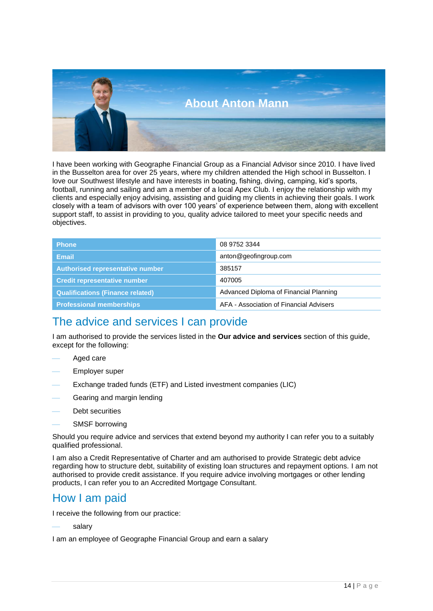

I have been working with Geographe Financial Group as a Financial Advisor since 2010. I have lived in the Busselton area for over 25 years, where my children attended the High school in Busselton. I love our Southwest lifestyle and have interests in boating, fishing, diving, camping, kid's sports, football, running and sailing and am a member of a local Apex Club. I enjoy the relationship with my clients and especially enjoy advising, assisting and guiding my clients in achieving their goals. I work closely with a team of advisors with over 100 years' of experience between them, along with excellent support staff, to assist in providing to you, quality advice tailored to meet your specific needs and objectives.

| <b>Phone</b>                            | 08 9752 3344                            |
|-----------------------------------------|-----------------------------------------|
| <b>Email</b>                            | anton@geofingroup.com                   |
| Authorised representative number        | 385157                                  |
| <b>Credit representative number</b>     | 407005                                  |
| <b>Qualifications (Finance related)</b> | Advanced Diploma of Financial Planning  |
| <b>Professional memberships</b>         | AFA - Association of Financial Advisers |

## The advice and services I can provide

I am authorised to provide the services listed in the **Our advice and services** section of this guide, except for the following:

- Aged care
- Employer super
- Exchange traded funds (ETF) and Listed investment companies (LIC)
- Gearing and margin lending
- Debt securities
- SMSF borrowing

Should you require advice and services that extend beyond my authority I can refer you to a suitably qualified professional.

I am also a Credit Representative of Charter and am authorised to provide Strategic debt advice regarding how to structure debt, suitability of existing loan structures and repayment options. I am not authorised to provide credit assistance. If you require advice involving mortgages or other lending products, I can refer you to an Accredited Mortgage Consultant.

## How I am paid

I receive the following from our practice:

salary

I am an employee of Geographe Financial Group and earn a salary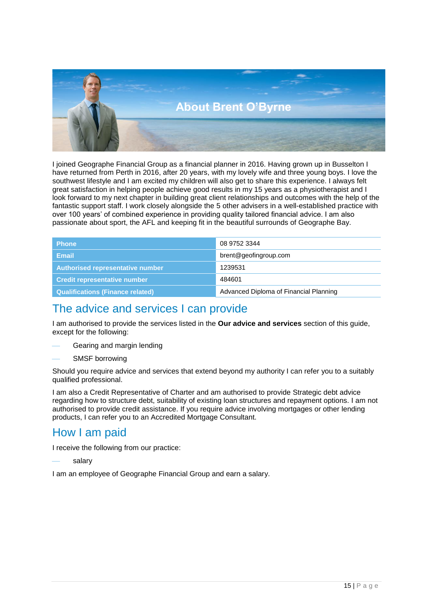

I joined Geographe Financial Group as a financial planner in 2016. Having grown up in Busselton I have returned from Perth in 2016, after 20 years, with my lovely wife and three young boys. I love the southwest lifestyle and I am excited my children will also get to share this experience. I always felt great satisfaction in helping people achieve good results in my 15 years as a physiotherapist and I look forward to my next chapter in building great client relationships and outcomes with the help of the fantastic support staff. I work closely alongside the 5 other advisers in a well-established practice with over 100 years' of combined experience in providing quality tailored financial advice. I am also passionate about sport, the AFL and keeping fit in the beautiful surrounds of Geographe Bay.

| <b>Phone</b>                            | 08 9752 3344                           |
|-----------------------------------------|----------------------------------------|
| Email                                   | brent@geofingroup.com                  |
| Authorised representative number        | 1239531                                |
| <b>Credit representative number</b>     | 484601                                 |
| <b>Qualifications (Finance related)</b> | Advanced Diploma of Financial Planning |

## The advice and services I can provide

I am authorised to provide the services listed in the **Our advice and services** section of this guide, except for the following:

- Gearing and margin lending
- SMSF borrowing

Should you require advice and services that extend beyond my authority I can refer you to a suitably qualified professional.

I am also a Credit Representative of Charter and am authorised to provide Strategic debt advice regarding how to structure debt, suitability of existing loan structures and repayment options. I am not authorised to provide credit assistance. If you require advice involving mortgages or other lending products, I can refer you to an Accredited Mortgage Consultant.

## How I am paid

I receive the following from our practice:

salary

I am an employee of Geographe Financial Group and earn a salary.